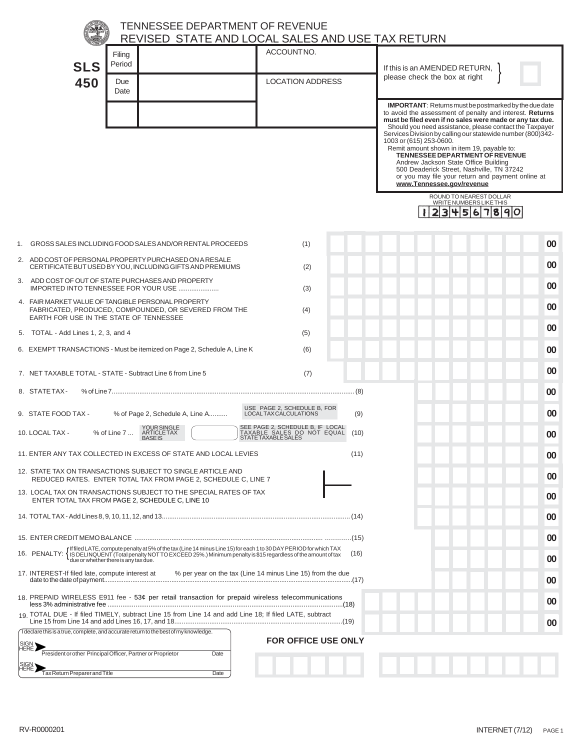|                                                                                                                                                                                                                                            | <b>TENNESSEE DEPARTMENT OF REVENUE</b>                                                                                                                 | REVISED STATE AND LOCAL SALES AND USE TAX RETURN                                                     |                                                                                                                                                                                                                                                                                                                                                                                                                                                                                                                                                                                                                                                                |  |
|--------------------------------------------------------------------------------------------------------------------------------------------------------------------------------------------------------------------------------------------|--------------------------------------------------------------------------------------------------------------------------------------------------------|------------------------------------------------------------------------------------------------------|----------------------------------------------------------------------------------------------------------------------------------------------------------------------------------------------------------------------------------------------------------------------------------------------------------------------------------------------------------------------------------------------------------------------------------------------------------------------------------------------------------------------------------------------------------------------------------------------------------------------------------------------------------------|--|
|                                                                                                                                                                                                                                            | Filing                                                                                                                                                 | ACCOUNTNO.                                                                                           |                                                                                                                                                                                                                                                                                                                                                                                                                                                                                                                                                                                                                                                                |  |
| <b>SLS</b>                                                                                                                                                                                                                                 | Period                                                                                                                                                 |                                                                                                      | If this is an AMENDED RETURN,                                                                                                                                                                                                                                                                                                                                                                                                                                                                                                                                                                                                                                  |  |
| 450                                                                                                                                                                                                                                        | Due<br>Date                                                                                                                                            | <b>LOCATION ADDRESS</b>                                                                              | please check the box at right                                                                                                                                                                                                                                                                                                                                                                                                                                                                                                                                                                                                                                  |  |
|                                                                                                                                                                                                                                            |                                                                                                                                                        |                                                                                                      | <b>IMPORTANT:</b> Returns must be postmarked by the due date<br>to avoid the assessment of penalty and interest. Returns<br>must be filed even if no sales were made or any tax due.<br>Should you need assistance, please contact the Taxpayer<br>Services Division by calling our statewide number (800)342-<br>1003 or (615) 253-0600.<br>Remit amount shown in item 19, payable to:<br><b>TENNESSEE DEPARTMENT OF REVENUE</b><br>Andrew Jackson State Office Building<br>500 Deaderick Street, Nashville, TN 37242<br>or you may file your return and payment online at<br>www.Tennessee.gov/revenue<br>ROUND TO NEAREST DOLLAR<br>WRITE NUMBERS LIKE THIS |  |
|                                                                                                                                                                                                                                            |                                                                                                                                                        |                                                                                                      | 4567890<br>3                                                                                                                                                                                                                                                                                                                                                                                                                                                                                                                                                                                                                                                   |  |
|                                                                                                                                                                                                                                            | 1. GROSS SALES INCLUDING FOOD SALES AND/OR RENTAL PROCEEDS                                                                                             | (1)                                                                                                  | 00                                                                                                                                                                                                                                                                                                                                                                                                                                                                                                                                                                                                                                                             |  |
|                                                                                                                                                                                                                                            | 2. ADD COST OF PERSONAL PROPERTY PURCHASED ON A RESALE<br>CERTIFICATE BUT USED BY YOU, INCLUDING GIFTS AND PREMIUMS                                    | (2)                                                                                                  | 00                                                                                                                                                                                                                                                                                                                                                                                                                                                                                                                                                                                                                                                             |  |
|                                                                                                                                                                                                                                            | 3. ADD COST OF OUT OF STATE PURCHASES AND PROPERTY<br>IMPORTED INTO TENNESSEE FOR YOUR USE                                                             | (3)                                                                                                  | 00                                                                                                                                                                                                                                                                                                                                                                                                                                                                                                                                                                                                                                                             |  |
|                                                                                                                                                                                                                                            | 4. FAIR MARKET VALUE OF TANGIBLE PERSONAL PROPERTY<br>FABRICATED, PRODUCED, COMPOUNDED, OR SEVERED FROM THE<br>EARTH FOR USE IN THE STATE OF TENNESSEE | (4)                                                                                                  | 00                                                                                                                                                                                                                                                                                                                                                                                                                                                                                                                                                                                                                                                             |  |
| 5. TOTAL - Add Lines 1, 2, 3, and 4                                                                                                                                                                                                        |                                                                                                                                                        | (5)                                                                                                  | 00                                                                                                                                                                                                                                                                                                                                                                                                                                                                                                                                                                                                                                                             |  |
|                                                                                                                                                                                                                                            | 6. EXEMPT TRANSACTIONS - Must be itemized on Page 2, Schedule A, Line K                                                                                | (6)                                                                                                  | 00                                                                                                                                                                                                                                                                                                                                                                                                                                                                                                                                                                                                                                                             |  |
|                                                                                                                                                                                                                                            | 7. NET TAXABLE TOTAL - STATE - Subtract Line 6 from Line 5                                                                                             | (7)                                                                                                  | 00                                                                                                                                                                                                                                                                                                                                                                                                                                                                                                                                                                                                                                                             |  |
| 8. STATE TAX-                                                                                                                                                                                                                              |                                                                                                                                                        |                                                                                                      | $00\,$                                                                                                                                                                                                                                                                                                                                                                                                                                                                                                                                                                                                                                                         |  |
| 9. STATE FOOD TAX -                                                                                                                                                                                                                        | % of Page 2, Schedule A, Line A                                                                                                                        | USE PAGE 2, SCHEDULE B, FOR<br>LOCALTAX CALCULATIONS                                                 | 00<br>(9)                                                                                                                                                                                                                                                                                                                                                                                                                                                                                                                                                                                                                                                      |  |
| 10. LOCAL TAX -                                                                                                                                                                                                                            | YOUR SINGLE<br>ARTICLE TAX<br>% of Line 7<br><b>BASEIS</b>                                                                                             | SEE PAGE 2, SCHEDULE B, IF LOCAL<br>TAXABLE SALES DO NOT EQUAL<br>(10)<br><b>STATE TAXABLE SALES</b> | 00                                                                                                                                                                                                                                                                                                                                                                                                                                                                                                                                                                                                                                                             |  |
|                                                                                                                                                                                                                                            | 11. ENTER ANY TAX COLLECTED IN EXCESS OF STATE AND LOCAL LEVIES                                                                                        | (11)                                                                                                 | 00                                                                                                                                                                                                                                                                                                                                                                                                                                                                                                                                                                                                                                                             |  |
| 12. STATE TAX ON TRANSACTIONS SUBJECT TO SINGLE ARTICLE AND<br>REDUCED RATES. ENTER TOTAL TAX FROM PAGE 2, SCHEDULE C, LINE 7                                                                                                              |                                                                                                                                                        |                                                                                                      |                                                                                                                                                                                                                                                                                                                                                                                                                                                                                                                                                                                                                                                                |  |
|                                                                                                                                                                                                                                            | 13. LOCAL TAX ON TRANSACTIONS SUBJECT TO THE SPECIAL RATES OF TAX<br>ENTER TOTAL TAX FROM PAGE 2, SCHEDULE C, LINE 10                                  |                                                                                                      | 00                                                                                                                                                                                                                                                                                                                                                                                                                                                                                                                                                                                                                                                             |  |
|                                                                                                                                                                                                                                            |                                                                                                                                                        |                                                                                                      | 00                                                                                                                                                                                                                                                                                                                                                                                                                                                                                                                                                                                                                                                             |  |
|                                                                                                                                                                                                                                            |                                                                                                                                                        |                                                                                                      |                                                                                                                                                                                                                                                                                                                                                                                                                                                                                                                                                                                                                                                                |  |
| 16. PENALTY: {Iffled LATE, compute penalty at 5% of the tax (Line 14 minus Line 15) for each 1 to 30 DAY PERIOD for which TAX<br>16. PENALTY: {IS DELINQUENT (Total penalty NOT TO EXCEED 25%.) Minimum penalty is \$15 regardless<br>(16) |                                                                                                                                                        |                                                                                                      |                                                                                                                                                                                                                                                                                                                                                                                                                                                                                                                                                                                                                                                                |  |
| 17. INTEREST-If filed late, compute interest at                                                                                                                                                                                            |                                                                                                                                                        | % per year on the tax (Line 14 minus Line 15) from the due                                           | 00                                                                                                                                                                                                                                                                                                                                                                                                                                                                                                                                                                                                                                                             |  |
|                                                                                                                                                                                                                                            | 18. PREPAID WIRELESS E911 fee - 53¢ per retail transaction for prepaid wireless telecommunications                                                     |                                                                                                      | 00                                                                                                                                                                                                                                                                                                                                                                                                                                                                                                                                                                                                                                                             |  |
|                                                                                                                                                                                                                                            | 19 TOTAL DUE - If filed TIMELY, subtract Line 15 from Line 14 and add Line 18; If filed LATE, subtract                                                 |                                                                                                      | 00                                                                                                                                                                                                                                                                                                                                                                                                                                                                                                                                                                                                                                                             |  |
|                                                                                                                                                                                                                                            | I declare this is a true, complete, and accurate return to the best of my knowledge.                                                                   | <b>FOR OFFICE USE ONLY</b>                                                                           |                                                                                                                                                                                                                                                                                                                                                                                                                                                                                                                                                                                                                                                                |  |
|                                                                                                                                                                                                                                            | President or other Principal Officer, Partner or Proprietor<br>Date                                                                                    |                                                                                                      |                                                                                                                                                                                                                                                                                                                                                                                                                                                                                                                                                                                                                                                                |  |
| Tax Return Preparer and Title                                                                                                                                                                                                              | Date                                                                                                                                                   |                                                                                                      |                                                                                                                                                                                                                                                                                                                                                                                                                                                                                                                                                                                                                                                                |  |